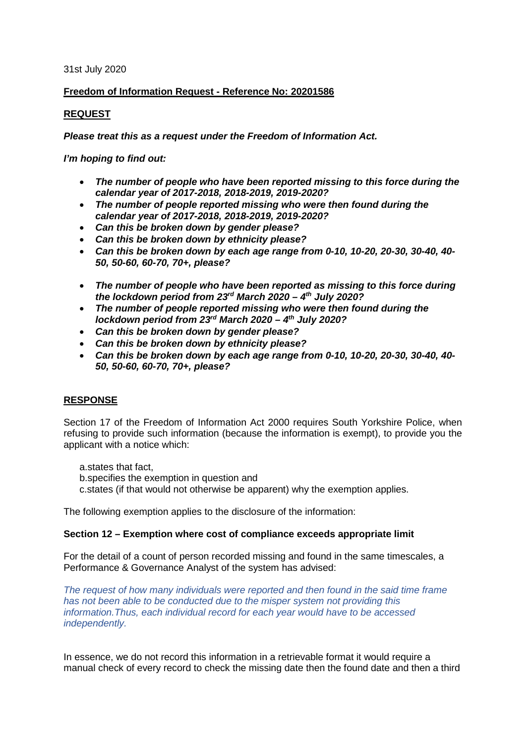#### 31st July 2020

# **Freedom of Information Request - Reference No: 20201586**

### **REQUEST**

*Please treat this as a request under the Freedom of Information Act.*

*I'm hoping to find out:*

- *The number of people who have been reported missing to this force during the calendar year of 2017-2018, 2018-2019, 2019-2020?*
- *The number of people reported missing who were then found during the calendar year of 2017-2018, 2018-2019, 2019-2020?*
- *Can this be broken down by gender please?*
- *Can this be broken down by ethnicity please?*
- *Can this be broken down by each age range from 0-10, 10-20, 20-30, 30-40, 40- 50, 50-60, 60-70, 70+, please?*
- *The number of people who have been reported as missing to this force during the lockdown period from 23rd March 2020 – 4th July 2020?*
- *The number of people reported missing who were then found during the lockdown period from 23rd March 2020 – 4th July 2020?*
- *Can this be broken down by gender please?*
- *Can this be broken down by ethnicity please?*
- *Can this be broken down by each age range from 0-10, 10-20, 20-30, 30-40, 40- 50, 50-60, 60-70, 70+, please?*

#### **RESPONSE**

Section 17 of the Freedom of Information Act 2000 requires South Yorkshire Police, when refusing to provide such information (because the information is exempt), to provide you the applicant with a notice which:

a.states that fact, b.specifies the exemption in question and c.states (if that would not otherwise be apparent) why the exemption applies.

The following exemption applies to the disclosure of the information:

# **Section 12 – Exemption where cost of compliance exceeds appropriate limit**

For the detail of a count of person recorded missing and found in the same timescales, a Performance & Governance Analyst of the system has advised:

*The request of how many individuals were reported and then found in the said time frame has not been able to be conducted due to the misper system not providing this information.Thus, each individual record for each year would have to be accessed independently.* 

In essence, we do not record this information in a retrievable format it would require a manual check of every record to check the missing date then the found date and then a third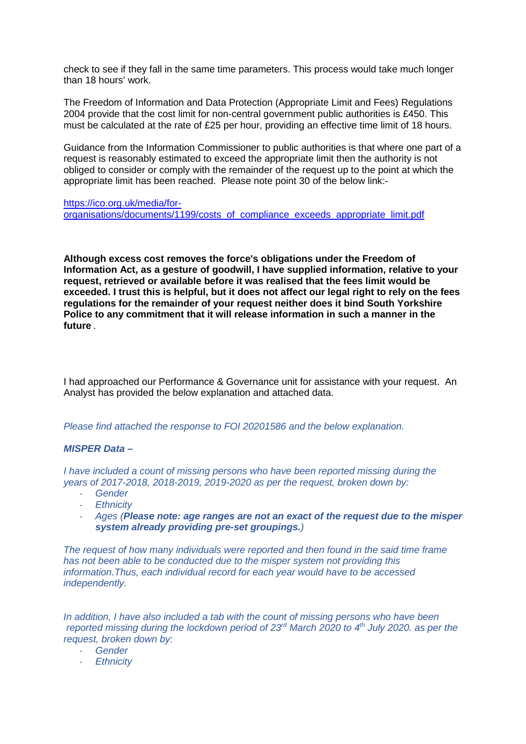check to see if they fall in the same time parameters. This process would take much longer than 18 hours' work.

The Freedom of Information and Data Protection (Appropriate Limit and Fees) Regulations 2004 provide that the cost limit for non-central government public authorities is £450. This must be calculated at the rate of £25 per hour, providing an effective time limit of 18 hours.

Guidance from the Information Commissioner to public authorities is that where one part of a request is reasonably estimated to exceed the appropriate limit then the authority is not obliged to consider or comply with the remainder of the request up to the point at which the appropriate limit has been reached. Please note point 30 of the below link:-

[https://ico.org.uk/media/for](https://ico.org.uk/media/for-organisations/documents/1199/costs_of_compliance_exceeds_appropriate_limit.pdf)[organisations/documents/1199/costs\\_of\\_compliance\\_exceeds\\_appropriate\\_limit.pdf](https://ico.org.uk/media/for-organisations/documents/1199/costs_of_compliance_exceeds_appropriate_limit.pdf)

**Although excess cost removes the force's obligations under the Freedom of Information Act, as a gesture of goodwill, I have supplied information, relative to your request, retrieved or available before it was realised that the fees limit would be exceeded. I trust this is helpful, but it does not affect our legal right to rely on the fees regulations for the remainder of your request neither does it bind South Yorkshire Police to any commitment that it will release information in such a manner in the future** *.*

I had approached our Performance & Governance unit for assistance with your request. An Analyst has provided the below explanation and attached data.

*Please find attached the response to FOI 20201586 and the below explanation.*

#### *MISPER Data –*

*I have included a count of missing persons who have been reported missing during the years of 2017-2018, 2018-2019, 2019-2020 as per the request, broken down by:*

- *Gender*
- *Ethnicity*
- *Ages (Please note: age ranges are not an exact of the request due to the misper system already providing pre-set groupings.)*

*The request of how many individuals were reported and then found in the said time frame has not been able to be conducted due to the misper system not providing this information.Thus, each individual record for each year would have to be accessed independently.* 

*In addition, I have also included a tab with the count of missing persons who have been reported missing during the lockdown period of 23rd March 2020 to 4th July 2020. as per the request, broken down by:*

- *Gender*
- *Ethnicity*